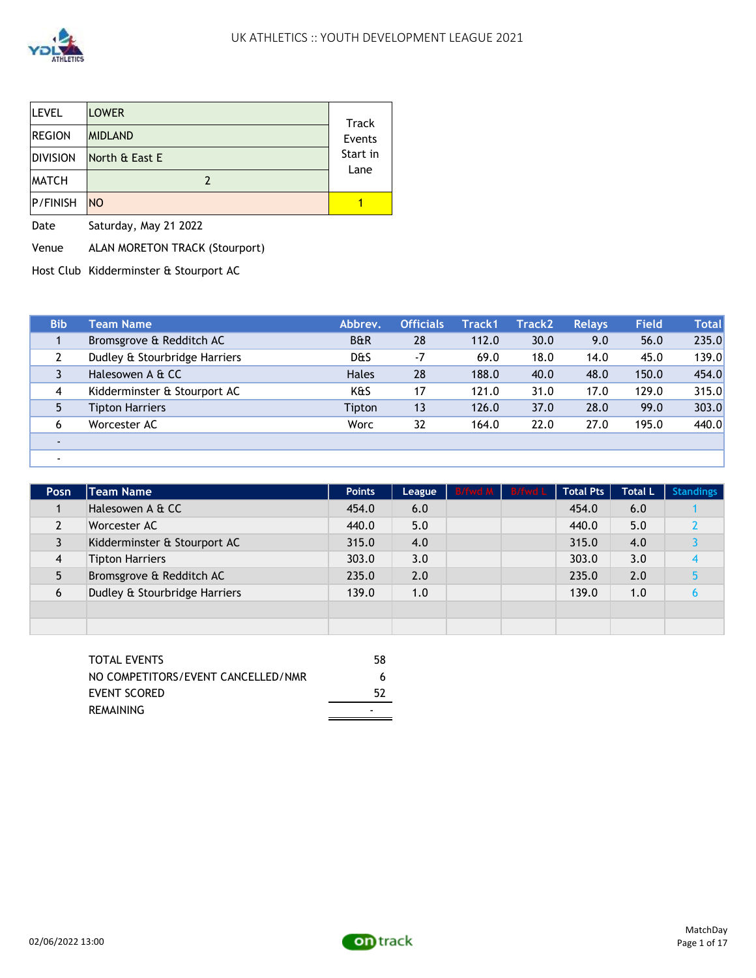

| <b>LEVEL</b>    | <b>LOWER</b>   | Track    |
|-----------------|----------------|----------|
| <b>REGION</b>   | <b>MIDLAND</b> | Events   |
| <b>DIVISION</b> | North & East E | Start in |
| <b>MATCH</b>    |                | Lane     |
| <b>P/FINISH</b> | <b>NO</b>      |          |

Date Saturday, May 21 2022

Venue ALAN MORETON TRACK (Stourport)

Host Club Kidderminster & Stourport AC

| <b>Bib</b>     | Team Name                     | Abbrev.        | <b>Officials</b> | Track1 | <b>Track2</b> | <b>Relavs</b> | <b>Field</b> | <b>Total</b> |
|----------------|-------------------------------|----------------|------------------|--------|---------------|---------------|--------------|--------------|
|                | Bromsgrove & Redditch AC      | <b>B&amp;R</b> | 28               | 112.0  | 30.0          | 9.0           | 56.0         | 235.0        |
|                | Dudley & Stourbridge Harriers | D&S            | $-7$             | 69.0   | 18.0          | 14.0          | 45.0         | 139.0        |
|                | Halesowen A & CC              | <b>Hales</b>   | 28               | 188.0  | 40.0          | 48.0          | 150.0        | 454.0        |
| $\overline{4}$ | Kidderminster & Stourport AC  | K&S            | 17               | 121.0  | 31.0          | 17.0          | 129.0        | 315.0        |
|                | <b>Tipton Harriers</b>        | Tipton         | 13               | 126.0  | 37.0          | 28.0          | 99.0         | 303.0        |
| 6              | Worcester AC                  | Worc           | 32               | 164.0  | 22.0          | 27.0          | 195.0        | 440.0        |
|                |                               |                |                  |        |               |               |              |              |
|                |                               |                |                  |        |               |               |              |              |

| Posn           | <b>Team Name</b>              | <b>Points</b> | League | B/fwd M B/fwd L | Total Pts | <b>Total L</b> | <b>Standings</b> |
|----------------|-------------------------------|---------------|--------|-----------------|-----------|----------------|------------------|
|                | Halesowen A & CC              | 454.0         | 6.0    |                 | 454.0     | 6.0            |                  |
|                | Worcester AC                  | 440.0         | 5.0    |                 | 440.0     | 5.0            |                  |
|                | Kidderminster & Stourport AC  | 315.0         | 4.0    |                 | 315.0     | 4.0            |                  |
| $\overline{4}$ | <b>Tipton Harriers</b>        | 303.0         | 3.0    |                 | 303.0     | 3.0            |                  |
|                | Bromsgrove & Redditch AC      | 235.0         | 2.0    |                 | 235.0     | 2.0            |                  |
| 6              | Dudley & Stourbridge Harriers | 139.0         | 1.0    |                 | 139.0     | 1.0            |                  |
|                |                               |               |        |                 |           |                |                  |
|                |                               |               |        |                 |           |                |                  |

| NO COMPETITORS/EVENT CANCELLED/NMR<br>6 |  |
|-----------------------------------------|--|
| EVENT SCORED<br>52                      |  |
| REMAINING                               |  |

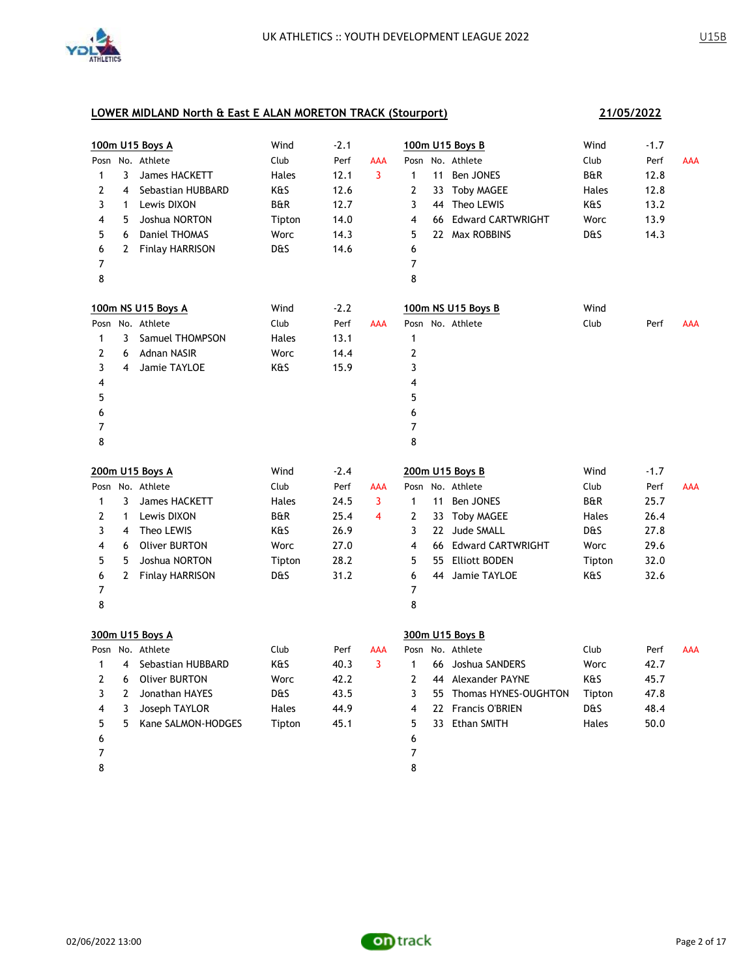

|              |                | 100m U15 Boys A        | Wind           | $-2.1$ |                |                |    | 100m U15 Boys B         | Wind           | $-1.7$ |            |
|--------------|----------------|------------------------|----------------|--------|----------------|----------------|----|-------------------------|----------------|--------|------------|
|              |                | Posn No. Athlete       | Club           | Perf   | AAA            |                |    | Posn No. Athlete        | Club           | Perf   | <b>AAA</b> |
| $\mathbf{1}$ | 3              | James HACKETT          | Hales          | 12.1   | 3              | $\mathbf{1}$   |    | 11 Ben JONES            | <b>B&amp;R</b> | 12.8   |            |
| 2            | 4              | Sebastian HUBBARD      | K&S            | 12.6   |                | $\overline{2}$ |    | 33 Toby MAGEE           | Hales          | 12.8   |            |
| 3            | $\mathbf{1}$   | Lewis DIXON            | <b>B&amp;R</b> | 12.7   |                | 3              |    | 44 Theo LEWIS           | K&S            | 13.2   |            |
| 4            | 5              | Joshua NORTON          | Tipton         | 14.0   |                | 4              |    | 66 Edward CARTWRIGHT    | Worc           | 13.9   |            |
| 5            | 6              | Daniel THOMAS          | Worc           | 14.3   |                | 5              |    | 22 Max ROBBINS          | D&S            | 14.3   |            |
| 6            | $\mathbf{2}$   | <b>Finlay HARRISON</b> | <b>D&amp;S</b> | 14.6   |                | 6              |    |                         |                |        |            |
| 7            |                |                        |                |        |                | 7              |    |                         |                |        |            |
| 8            |                |                        |                |        |                | 8              |    |                         |                |        |            |
|              |                | 100m NS U15 Boys A     | Wind           | $-2.2$ |                |                |    | 100m NS U15 Boys B      | Wind           |        |            |
|              |                | Posn No. Athlete       | Club           | Perf   | <b>AAA</b>     |                |    | Posn No. Athlete        | Club           | Perf   | AAA        |
| 1            | 3              | Samuel THOMPSON        | Hales          | 13.1   |                | 1              |    |                         |                |        |            |
| 2            | 6              | Adnan NASIR            | Worc           | 14.4   |                | $\overline{2}$ |    |                         |                |        |            |
| 3            | 4              | Jamie TAYLOE           | K&S            | 15.9   |                | 3              |    |                         |                |        |            |
| 4            |                |                        |                |        |                | 4              |    |                         |                |        |            |
| 5            |                |                        |                |        |                | 5              |    |                         |                |        |            |
| 6            |                |                        |                |        |                | 6              |    |                         |                |        |            |
| 7            |                |                        |                |        |                | 7              |    |                         |                |        |            |
| 8            |                |                        |                |        |                | 8              |    |                         |                |        |            |
|              |                | 200m U15 Boys A        | Wind           | $-2.4$ |                |                |    | 200m U15 Boys B         | Wind           | $-1.7$ |            |
|              |                | Posn No. Athlete       | Club           | Perf   | AAA            |                |    | Posn No. Athlete        | Club           | Perf   | <b>AAA</b> |
| $\mathbf{1}$ | 3              | James HACKETT          | Hales          | 24.5   | 3              | $\mathbf{1}$   | 11 | Ben JONES               | <b>B&amp;R</b> | 25.7   |            |
| $\mathbf{2}$ | $\mathbf{1}$   | Lewis DIXON            | <b>B&amp;R</b> | 25.4   | $\overline{4}$ | $\overline{2}$ |    | 33 Toby MAGEE           | Hales          | 26.4   |            |
| 3            | $\overline{4}$ | Theo LEWIS             | K&S            | 26.9   |                | 3              |    | 22 Jude SMALL           | D&S            | 27.8   |            |
| 4            | 6              | <b>Oliver BURTON</b>   | Worc           | 27.0   |                | 4              |    | 66 Edward CARTWRIGHT    | Worc           | 29.6   |            |
| 5            | 5              | Joshua NORTON          | Tipton         | 28.2   |                | 5              |    | 55 Elliott BODEN        | Tipton         | 32.0   |            |
| 6            | $\mathbf{2}$   | <b>Finlay HARRISON</b> | <b>D&amp;S</b> | 31.2   |                | 6              |    | 44 Jamie TAYLOE         | K&S            | 32.6   |            |
| 7            |                |                        |                |        |                | 7              |    |                         |                |        |            |
| 8            |                |                        |                |        |                | 8              |    |                         |                |        |            |
|              |                | 300m U15 Boys A        |                |        |                |                |    | 300m U15 Boys B         |                |        |            |
|              |                | Posn No. Athlete       | Club           | Perf   | AAA            |                |    | Posn No. Athlete        | Club           | Perf   | AAA        |
| $\mathbf{1}$ | $\overline{4}$ | Sebastian HUBBARD      | K&S            | 40.3   | 3              | $\mathbf{1}$   |    | 66 Joshua SANDERS       | Worc           | 42.7   |            |
| 2            | 6              | <b>Oliver BURTON</b>   | Worc           | 42.2   |                | $\overline{2}$ |    | 44 Alexander PAYNE      | K&S            | 45.7   |            |
| 3            | $\overline{2}$ | Jonathan HAYES         | <b>D&amp;S</b> | 43.5   |                | 3              |    | 55 Thomas HYNES-OUGHTON | Tipton         | 47.8   |            |
| 4            | 3              | Joseph TAYLOR          | Hales          | 44.9   |                | 4              |    | 22 Francis O'BRIEN      | <b>D&amp;S</b> | 48.4   |            |
| 5            | 5              | Kane SALMON-HODGES     | Tipton         | 45.1   |                | 5              |    | 33 Ethan SMITH          | Hales          | 50.0   |            |
| 6            |                |                        |                |        |                | 6              |    |                         |                |        |            |
| 7            |                |                        |                |        |                | 7              |    |                         |                |        |            |
| 8            |                |                        |                |        |                | 8              |    |                         |                |        |            |

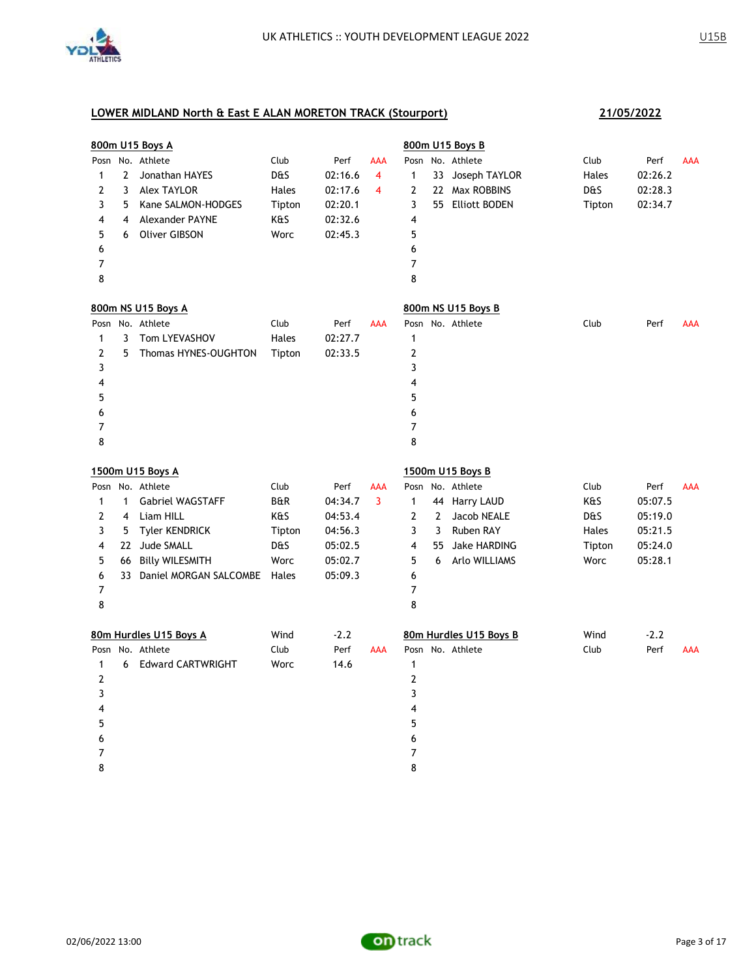

|                |                | 800m U15 Boys A           |                |         |            |                |              | 800m U15 Boys B        |                |         |            |
|----------------|----------------|---------------------------|----------------|---------|------------|----------------|--------------|------------------------|----------------|---------|------------|
| Posn           |                | No. Athlete               | Club           | Perf    | <b>AAA</b> | Posn           |              | No. Athlete            | Club           | Perf    | AAA        |
| 1              | $\overline{2}$ | Jonathan HAYES            | D&S            | 02:16.6 | 4          | $\mathbf{1}$   |              | 33 Joseph TAYLOR       | Hales          | 02:26.2 |            |
| 2              | 3              | <b>Alex TAYLOR</b>        | Hales          | 02:17.6 | 4          | $\overline{2}$ |              | 22 Max ROBBINS         | D&S            | 02:28.3 |            |
| 3              | 5              | Kane SALMON-HODGES        | Tipton         | 02:20.1 |            | 3              |              | 55 Elliott BODEN       | Tipton         | 02:34.7 |            |
| 4              | 4              | Alexander PAYNE           | K&S            | 02:32.6 |            | 4              |              |                        |                |         |            |
| 5              | 6              | <b>Oliver GIBSON</b>      | Worc           | 02:45.3 |            | 5              |              |                        |                |         |            |
| 6              |                |                           |                |         |            | 6              |              |                        |                |         |            |
| 7              |                |                           |                |         |            | $\overline{7}$ |              |                        |                |         |            |
| 8              |                |                           |                |         |            | 8              |              |                        |                |         |            |
|                |                | 800m NS U15 Boys A        |                |         |            |                |              | 800m NS U15 Boys B     |                |         |            |
| Posn           |                | No. Athlete               | Club           | Perf    | <b>AAA</b> |                |              | Posn No. Athlete       | Club           | Perf    | <b>AAA</b> |
| 1              | 3              | Tom LYEVASHOV             | Hales          | 02:27.7 |            | 1              |              |                        |                |         |            |
| $\overline{2}$ | 5              | Thomas HYNES-OUGHTON      | Tipton         | 02:33.5 |            | 2              |              |                        |                |         |            |
| 3              |                |                           |                |         |            | 3              |              |                        |                |         |            |
| 4              |                |                           |                |         |            | 4              |              |                        |                |         |            |
| 5              |                |                           |                |         |            | 5              |              |                        |                |         |            |
| 6              |                |                           |                |         |            | 6              |              |                        |                |         |            |
| 7              |                |                           |                |         |            | $\overline{7}$ |              |                        |                |         |            |
| 8              |                |                           |                |         |            | 8              |              |                        |                |         |            |
|                |                | 1500m U15 Boys A          |                |         |            |                |              | 1500m U15 Boys B       |                |         |            |
|                |                | Posn No. Athlete          | Club           | Perf    | <b>AAA</b> | Posn           |              | No. Athlete            | Club           | Perf    | <b>AAA</b> |
| $\mathbf{1}$   | $\mathbf{1}$   | <b>Gabriel WAGSTAFF</b>   | <b>B&amp;R</b> | 04:34.7 | 3          | $\mathbf{1}$   |              | 44 Harry LAUD          | K&S            | 05:07.5 |            |
| $\mathbf{2}$   | 4              | Liam HILL                 | K&S            | 04:53.4 |            | $\mathbf{2}$   | $\mathbf{2}$ | Jacob NEALE            | <b>D&amp;S</b> | 05:19.0 |            |
| 3              | 5              | <b>Tyler KENDRICK</b>     | Tipton         | 04:56.3 |            | 3              | 3            | Ruben RAY              | Hales          | 05:21.5 |            |
| 4              |                | 22 Jude SMALL             | D&S            | 05:02.5 |            | 4              | 55           | Jake HARDING           | Tipton         | 05:24.0 |            |
| 5              |                | 66 Billy WILESMITH        | Worc           | 05:02.7 |            | 5              | 6            | Arlo WILLIAMS          | Worc           | 05:28.1 |            |
| 6              |                | 33 Daniel MORGAN SALCOMBE | Hales          | 05:09.3 |            | 6              |              |                        |                |         |            |
| 7              |                |                           |                |         |            | 7              |              |                        |                |         |            |
| 8              |                |                           |                |         |            | 8              |              |                        |                |         |            |
|                |                | 80m Hurdles U15 Boys A    | Wind           | $-2.2$  |            |                |              | 80m Hurdles U15 Boys B | Wind           | $-2.2$  |            |
|                |                | Posn No. Athlete          | Club           | Perf    | <b>AAA</b> |                |              | Posn No. Athlete       | Club           | Perf    | AAA        |
| $\mathbf{1}$   | 6              | <b>Edward CARTWRIGHT</b>  | Worc           | 14.6    |            | 1              |              |                        |                |         |            |
| $\overline{2}$ |                |                           |                |         |            | 2              |              |                        |                |         |            |
| 3              |                |                           |                |         |            | 3              |              |                        |                |         |            |
| 4              |                |                           |                |         |            | 4              |              |                        |                |         |            |
| 5              |                |                           |                |         |            | 5              |              |                        |                |         |            |
| 6              |                |                           |                |         |            |                |              |                        |                |         |            |
|                |                |                           |                |         |            | 6              |              |                        |                |         |            |
| 7              |                |                           |                |         |            | 7              |              |                        |                |         |            |

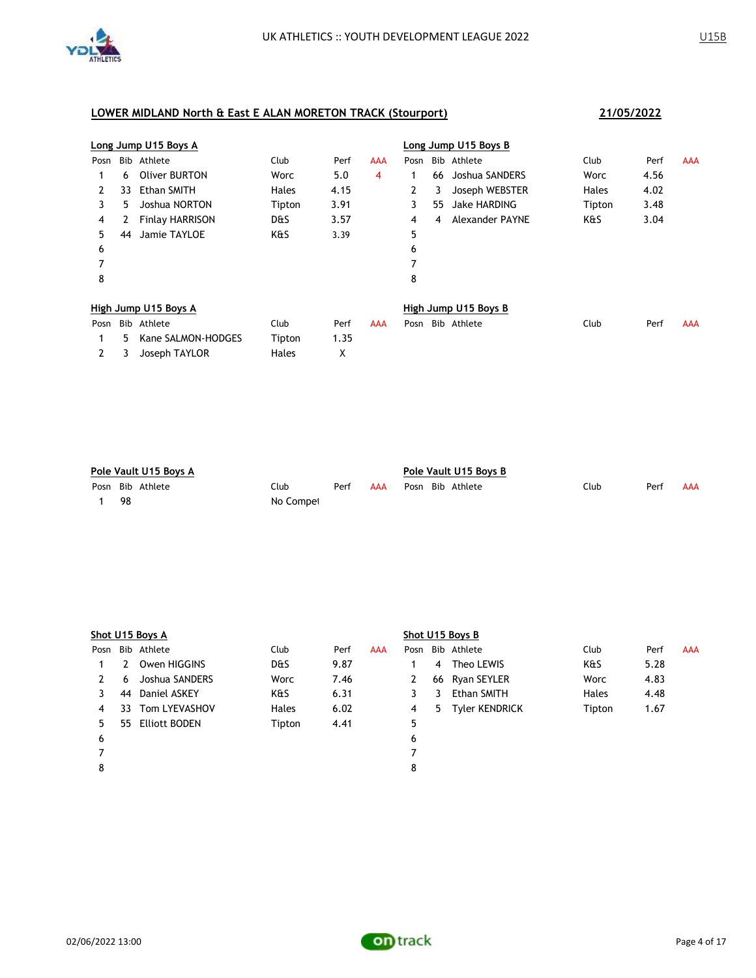

|      |    | Long Jump U15 Boys A   |                |      |     |              |    | Long Jump U15 Boys B |              |      |            |
|------|----|------------------------|----------------|------|-----|--------------|----|----------------------|--------------|------|------------|
| Posn |    | Bib Athlete            | Club           | Perf | AAA | Posn         |    | Bib Athlete          | Club         | Perf | AAA        |
|      | 6  | Oliver BURTON          | Worc           | 5.0  | 4   |              | 66 | Joshua SANDERS       | Worc         | 4.56 |            |
| 2    | 33 | Ethan SMITH            | <b>Hales</b>   | 4.15 |     | $\mathbf{2}$ | 3  | Joseph WEBSTER       | <b>Hales</b> | 4.02 |            |
| 3    | 5  | Joshua NORTON          | Tipton         | 3.91 |     | 3            | 55 | <b>Jake HARDING</b>  | Tipton       | 3.48 |            |
| 4    | 2  | <b>Finlay HARRISON</b> | <b>D&amp;S</b> | 3.57 |     | 4            | 4  | Alexander PAYNE      | K&S          | 3.04 |            |
| 5    | 44 | Jamie TAYLOE           | K&S            | 3.39 |     | 5            |    |                      |              |      |            |
| 6    |    |                        |                |      |     | 6            |    |                      |              |      |            |
| 7    |    |                        |                |      |     | 7            |    |                      |              |      |            |
| 8    |    |                        |                |      |     | 8            |    |                      |              |      |            |
|      |    | High Jump U15 Boys A   |                |      |     |              |    | High Jump U15 Boys B |              |      |            |
| Posn |    | Bib Athlete            | Club           | Perf | AAA | Posn         |    | Bib Athlete          | Club         | Perf | <b>AAA</b> |
|      | 5  | Kane SALMON-HODGES     | Tipton         | 1.35 |     |              |    |                      |              |      |            |
| 2    | 3  | Joseph TAYLOR          | <b>Hales</b>   | Χ    |     |              |    |                      |              |      |            |

| Pole Vault U15 Boys A |     |                  |           |      |     | Pole Vault U15 Boys B |  |                  |      |      |     |  |
|-----------------------|-----|------------------|-----------|------|-----|-----------------------|--|------------------|------|------|-----|--|
|                       |     | Posn Bib Athlete | Club      | Perf | AAA |                       |  | Posn Bib Athlete | Club | Perf | AAA |  |
|                       | -98 |                  | No Compet |      |     |                       |  |                  |      |      |     |  |

|      |    | Shot U15 Boys A      |                |      |     |      |    | Shot U15 Boys B    |              |      |            |
|------|----|----------------------|----------------|------|-----|------|----|--------------------|--------------|------|------------|
| Posn |    | Bib Athlete          | Club           | Perf | AAA | Posn |    | Bib Athlete        | Club         | Perf | <b>AAA</b> |
|      |    | Owen HIGGINS         | <b>D&amp;S</b> | 9.87 |     |      | 4  | Theo LEWIS         | K&S          | 5.28 |            |
| 2    | 6  | Joshua SANDERS       | Worc           | 7.46 |     | 2    |    | 66 Ryan SEYLER     | Worc         | 4.83 |            |
|      | 44 | Daniel ASKEY         | K&S            | 6.31 |     | 3    | 3  | <b>Ethan SMITH</b> | <b>Hales</b> | 4.48 |            |
| 4    | 33 | Tom LYEVASHOV        | <b>Hales</b>   | 6.02 |     | 4    | 5. | Tyler KENDRICK     | Tipton       | 1.67 |            |
| 5.   | 55 | <b>Elliott BODEN</b> | Tipton         | 4.41 |     | 5    |    |                    |              |      |            |
| 6    |    |                      |                |      |     | 6    |    |                    |              |      |            |
|      |    |                      |                |      |     |      |    |                    |              |      |            |
| 8    |    |                      |                |      |     | 8    |    |                    |              |      |            |
|      |    |                      |                |      |     |      |    |                    |              |      |            |

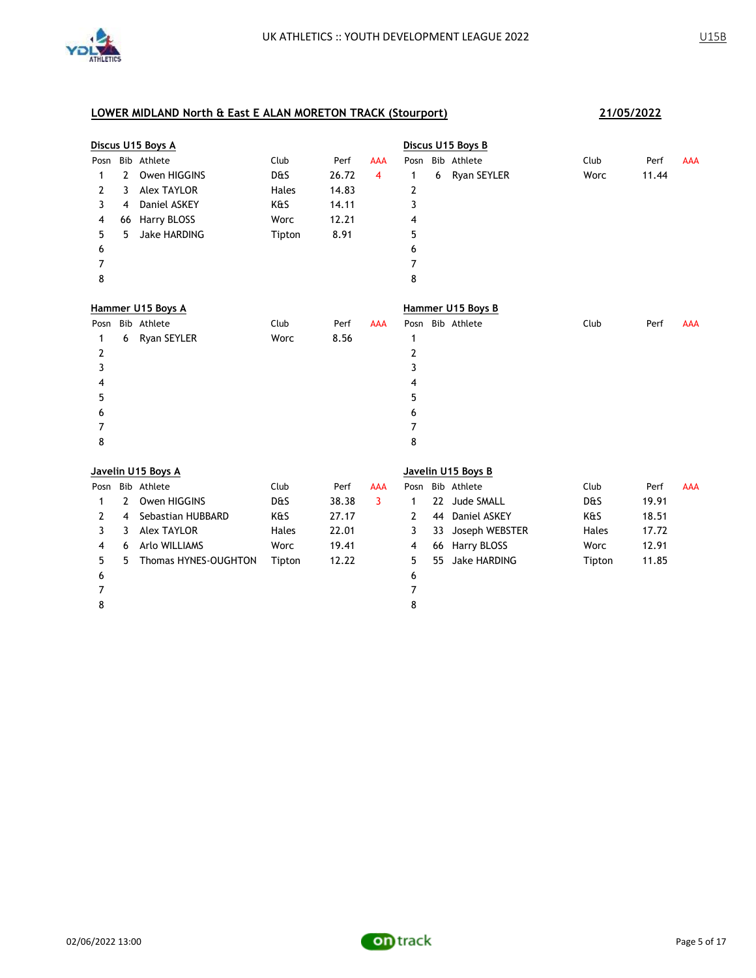

|      |                | Discus U15 Boys A    |        |       |            |              |    | Discus U15 Boys B   |        |       |            |
|------|----------------|----------------------|--------|-------|------------|--------------|----|---------------------|--------|-------|------------|
| Posn |                | Bib Athlete          | Club   | Perf  | AAA        | Posn         |    | Bib Athlete         | Club   | Perf  | <b>AAA</b> |
| 1    | $\overline{2}$ | Owen HIGGINS         | D&S    | 26.72 | 4          | $\mathbf{1}$ | 6  | Ryan SEYLER         | Worc   | 11.44 |            |
| 2    | 3              | <b>Alex TAYLOR</b>   | Hales  | 14.83 |            | 2            |    |                     |        |       |            |
| 3    | 4              | Daniel ASKEY         | K&S    | 14.11 |            | 3            |    |                     |        |       |            |
| 4    | 66             | Harry BLOSS          | Worc   | 12.21 |            | 4            |    |                     |        |       |            |
| 5    | 5              | <b>Jake HARDING</b>  | Tipton | 8.91  |            | 5            |    |                     |        |       |            |
| 6    |                |                      |        |       |            | 6            |    |                     |        |       |            |
| 7    |                |                      |        |       |            | 7            |    |                     |        |       |            |
| 8    |                |                      |        |       |            | 8            |    |                     |        |       |            |
|      |                | Hammer U15 Boys A    |        |       |            |              |    | Hammer U15 Boys B   |        |       |            |
| Posn |                | Bib Athlete          | Club   | Perf  | <b>AAA</b> |              |    | Posn Bib Athlete    | Club   | Perf  | <b>AAA</b> |
| 1    |                | 6 Ryan SEYLER        | Worc   | 8.56  |            | 1            |    |                     |        |       |            |
| 2    |                |                      |        |       |            | 2            |    |                     |        |       |            |
| 3    |                |                      |        |       |            | 3            |    |                     |        |       |            |
| 4    |                |                      |        |       |            | 4            |    |                     |        |       |            |
| 5    |                |                      |        |       |            | 5            |    |                     |        |       |            |
| 6    |                |                      |        |       |            | 6            |    |                     |        |       |            |
| 7    |                |                      |        |       |            | 7            |    |                     |        |       |            |
| 8    |                |                      |        |       |            | 8            |    |                     |        |       |            |
|      |                | Javelin U15 Boys A   |        |       |            |              |    | Javelin U15 Boys B  |        |       |            |
| Posn |                | Bib Athlete          | Club   | Perf  | <b>AAA</b> |              |    | Posn Bib Athlete    | Club   | Perf  | <b>AAA</b> |
| 1    | 2              | Owen HIGGINS         | D&S    | 38.38 | 3          | $\mathbf{1}$ | 22 | Jude SMALL          | D&S    | 19.91 |            |
| 2    | 4              | Sebastian HUBBARD    | K&S    | 27.17 |            | 2            | 44 | Daniel ASKEY        | K&S    | 18.51 |            |
| 3    | 3              | <b>Alex TAYLOR</b>   | Hales  | 22.01 |            | 3            | 33 | Joseph WEBSTER      | Hales  | 17.72 |            |
| 4    | 6              | Arlo WILLIAMS        | Worc   | 19.41 |            | 4            | 66 | Harry BLOSS         | Worc   | 12.91 |            |
| 5    | 5              | Thomas HYNES-OUGHTON | Tipton | 12.22 |            | 5            | 55 | <b>Jake HARDING</b> | Tipton | 11.85 |            |
| 6    |                |                      |        |       |            | 6            |    |                     |        |       |            |
| 7    |                |                      |        |       |            | 7            |    |                     |        |       |            |
| 8    |                |                      |        |       |            | 8            |    |                     |        |       |            |
|      |                |                      |        |       |            |              |    |                     |        |       |            |

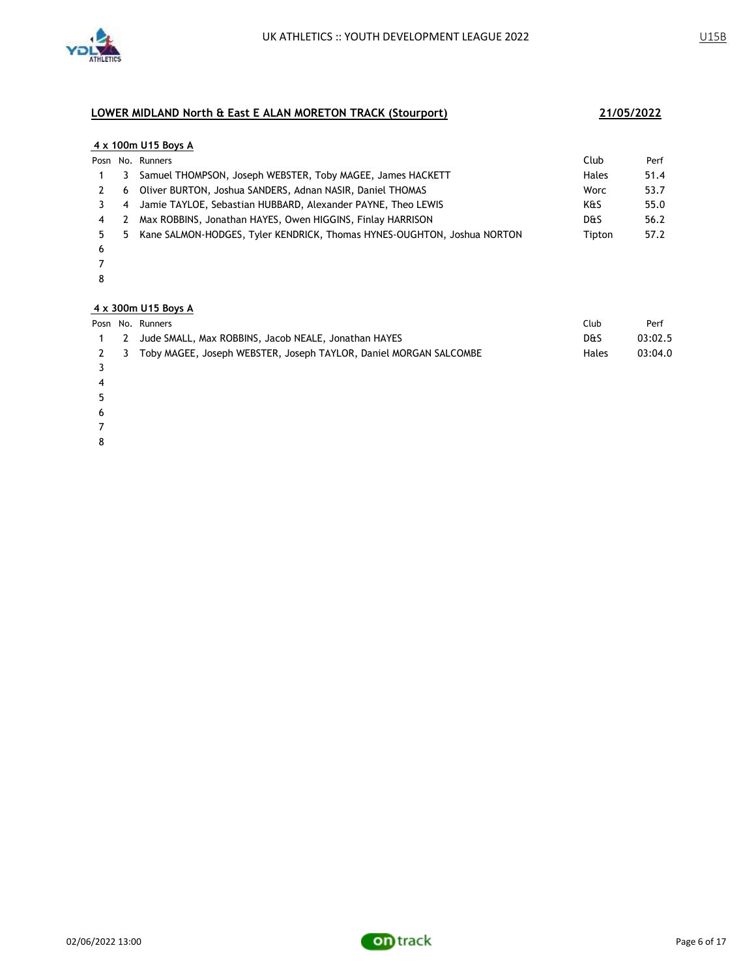

### **4 x 100m U15 Boys A** Posn No. Runners Club Perf 1 3 Samuel THOMPSON, Joseph WEBSTER, Toby MAGEE, James HACKETT **Hales** 51.4 2 6 Oliver BURTON, Joshua SANDERS, Adnan NASIR, Daniel THOMAS 6 1903 1904 Worc 53.7 3 4 Jamie TAYLOE, Sebastian HUBBARD, Alexander PAYNE, Theo LEWIS **KALL ARES** 55.0 4 2 Max ROBBINS, Jonathan HAYES, Owen HIGGINS, Finlay HARRISON DES DES 56.2

- 5 5 Kane SALMON-HODGES, Tyler KENDRICK, Thomas HYNES-OUGHTON, Joshua NORTON Tipton 57.2 6
- 7
- 8

### **4 x 300m U15 Boys A**

|  | Posn No. Runners                                                      | Club           | Perf    |
|--|-----------------------------------------------------------------------|----------------|---------|
|  | 2 Jude SMALL, Max ROBBINS, Jacob NEALE, Jonathan HAYES                | <b>D&amp;S</b> | 03:02.5 |
|  | 2 3 Toby MAGEE, Joseph WEBSTER, Joseph TAYLOR, Daniel MORGAN SALCOMBE | Hales          | 03:04.0 |
|  |                                                                       |                |         |

- 4
- 5
- 6
- 7
- 8

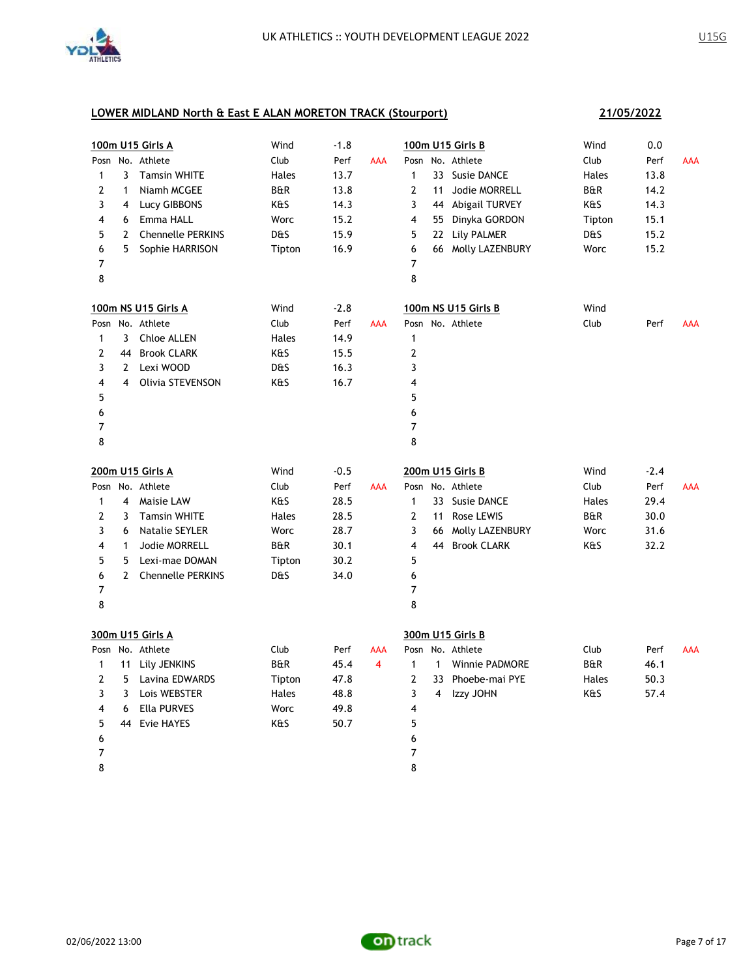

|                |                | 100m U15 Girls A         | Wind           | $-1.8$ |            | 100m U15 Girls B                                      | Wind           | 0.0    |            |
|----------------|----------------|--------------------------|----------------|--------|------------|-------------------------------------------------------|----------------|--------|------------|
|                |                | Posn No. Athlete         | Club           | Perf   | <b>AAA</b> | No. Athlete<br>Posn                                   | Club           | Perf   | <b>AAA</b> |
| $\mathbf{1}$   | 3              | <b>Tamsin WHITE</b>      | Hales          | 13.7   |            | $\mathbf{1}$<br>33 Susie DANCE                        | Hales          | 13.8   |            |
| $\overline{2}$ | $\mathbf{1}$   | Niamh MCGEE              | B&R            | 13.8   |            | 2<br>11<br>Jodie MORRELL                              | B&R            | 14.2   |            |
| 3              | 4              | Lucy GIBBONS             | K&S            | 14.3   |            | 3<br>44 Abigail TURVEY                                | K&S            | 14.3   |            |
| 4              | 6              | Emma HALL                | Worc           | 15.2   |            | 4<br>55 Dinyka GORDON                                 | Tipton         | 15.1   |            |
| 5              | $\overline{2}$ | <b>Chennelle PERKINS</b> | <b>D&amp;S</b> | 15.9   |            | 5<br>22 Lily PALMER                                   | <b>D&amp;S</b> | 15.2   |            |
| 6              | 5              | Sophie HARRISON          | Tipton         | 16.9   |            | 6<br>66 Molly LAZENBURY                               | Worc           | 15.2   |            |
| 7              |                |                          |                |        |            | 7                                                     |                |        |            |
| 8              |                |                          |                |        |            | 8                                                     |                |        |            |
|                |                | 100m NS U15 Girls A      | Wind           | $-2.8$ |            | 100m NS U15 Girls B                                   | Wind           |        |            |
|                |                | Posn No. Athlete         | Club           | Perf   | <b>AAA</b> | Posn No. Athlete                                      | Club           | Perf   | AAA        |
| 1              | $\mathbf{3}$   | Chloe ALLEN              | Hales          | 14.9   |            | 1                                                     |                |        |            |
| 2              |                | 44 Brook CLARK           | K&S            | 15.5   |            | $\overline{\mathbf{c}}$                               |                |        |            |
| 3              |                | 2 Lexi WOOD              | D&S            | 16.3   |            | 3                                                     |                |        |            |
| 4              | 4              | Olivia STEVENSON         | K&S            | 16.7   |            | 4                                                     |                |        |            |
| 5              |                |                          |                |        |            | 5                                                     |                |        |            |
| 6              |                |                          |                |        |            | 6                                                     |                |        |            |
| $\overline{7}$ |                |                          |                |        |            | $\overline{7}$                                        |                |        |            |
| 8              |                |                          |                |        |            | 8                                                     |                |        |            |
|                |                |                          |                |        |            |                                                       |                |        |            |
|                |                | 200m U15 Girls A         | Wind           | $-0.5$ |            | 200m U15 Girls B                                      | Wind           | $-2.4$ |            |
| Posn           |                | No. Athlete              | Club           | Perf   | AAA        | Posn No. Athlete                                      | Club           | Perf   | AAA        |
| 1              | 4              | Maisie LAW               | K&S            | 28.5   |            | 1<br>33 Susie DANCE                                   | Hales          | 29.4   |            |
| 2              | 3              | <b>Tamsin WHITE</b>      | Hales          | 28.5   |            | 2<br>Rose LEWIS<br>11                                 | <b>B&amp;R</b> | 30.0   |            |
| 3              | 6              | <b>Natalie SEYLER</b>    | Worc           | 28.7   |            | 3<br>66 Molly LAZENBURY                               | Worc           | 31.6   |            |
| 4              | $\mathbf{1}$   | Jodie MORRELL            | <b>B&amp;R</b> | 30.1   |            | 4<br>44 Brook CLARK                                   | K&S            | 32.2   |            |
| 5              | 5              | Lexi-mae DOMAN           | Tipton         | 30.2   |            | 5                                                     |                |        |            |
| 6              | $\overline{2}$ | <b>Chennelle PERKINS</b> | <b>D&amp;S</b> | 34.0   |            | 6                                                     |                |        |            |
| 7              |                |                          |                |        |            | 7                                                     |                |        |            |
| 8              |                |                          |                |        |            | 8                                                     |                |        |            |
|                |                | 300m U15 Girls A         |                |        |            | 300m U15 Girls B                                      |                |        |            |
|                |                | Posn No. Athlete         | Club           | Perf   | <b>AAA</b> | Posn No. Athlete                                      | Club           | Perf   | <b>AAA</b> |
| 1              | 11             | Lily JENKINS             | <b>B&amp;R</b> | 45.4   | 4          | $\mathbf{1}$<br>$\mathbf{1}$<br><b>Winnie PADMORE</b> | <b>B&amp;R</b> | 46.1   |            |
| $\overline{2}$ | 5              | Lavina EDWARDS           | Tipton         | 47.8   |            | $\mathbf{2}$<br>33 Phoebe-mai PYE                     | Hales          | 50.3   |            |
| 3              | 3              | Lois WEBSTER             | Hales          | 48.8   |            | 3<br>Izzy JOHN<br>$\overline{4}$                      | K&S            | 57.4   |            |
| 4              | 6              | <b>Ella PURVES</b>       | Worc           | 49.8   |            | 4                                                     |                |        |            |
| 5              |                | 44 Evie HAYES            | K&S            | 50.7   |            | 5                                                     |                |        |            |
| 6              |                |                          |                |        |            | 6                                                     |                |        |            |
| 7              |                |                          |                |        |            | 7                                                     |                |        |            |

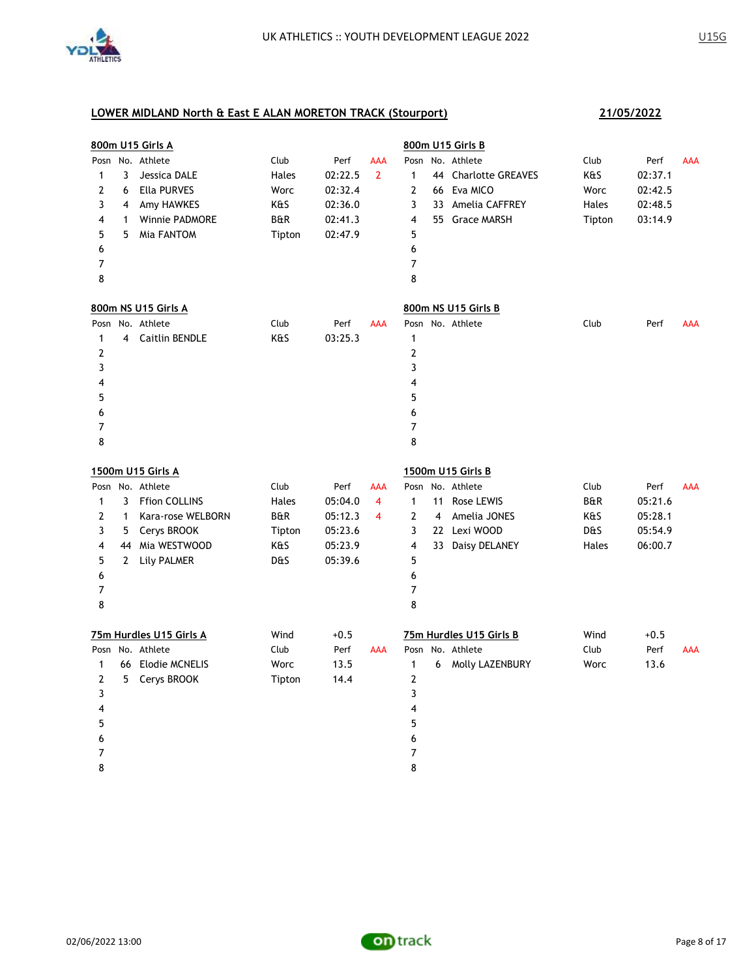

|                |              | 800m U15 Girls A        |                |         |                         |                         |    | 800m U15 Girls B        |        |         |            |
|----------------|--------------|-------------------------|----------------|---------|-------------------------|-------------------------|----|-------------------------|--------|---------|------------|
|                |              | Posn No. Athlete        | Club           | Perf    | AAA                     | Posn                    |    | No. Athlete             | Club   | Perf    | <b>AAA</b> |
| 1              | 3            | Jessica DALE            | Hales          | 02:22.5 | $\overline{2}$          | $\mathbf{1}$            |    | 44 Charlotte GREAVES    | K&S    | 02:37.1 |            |
| 2              | 6            | Ella PURVES             | Worc           | 02:32.4 |                         | $\overline{2}$          |    | 66 Eva MICO             | Worc   | 02:42.5 |            |
| 3              | 4            | Amy HAWKES              | K&S            | 02:36.0 |                         | 3                       |    | 33 Amelia CAFFREY       | Hales  | 02:48.5 |            |
| 4              | 1            | <b>Winnie PADMORE</b>   | <b>B&amp;R</b> | 02:41.3 |                         | $\overline{\mathbf{4}}$ |    | 55 Grace MARSH          | Tipton | 03:14.9 |            |
| 5              | 5            | Mia FANTOM              | Tipton         | 02:47.9 |                         | 5                       |    |                         |        |         |            |
| 6              |              |                         |                |         |                         | 6                       |    |                         |        |         |            |
| 7              |              |                         |                |         |                         | 7                       |    |                         |        |         |            |
| 8              |              |                         |                |         |                         | 8                       |    |                         |        |         |            |
|                |              | 800m NS U15 Girls A     |                |         |                         |                         |    | 800m NS U15 Girls B     |        |         |            |
| Posn           |              | No. Athlete             | Club           | Perf    | <b>AAA</b>              |                         |    | Posn No. Athlete        | Club   | Perf    | AAA        |
| 1              |              | 4 Caitlin BENDLE        | K&S            | 03:25.3 |                         | $\mathbf{1}$            |    |                         |        |         |            |
| $\overline{2}$ |              |                         |                |         |                         | $\mathbf{2}$            |    |                         |        |         |            |
| 3              |              |                         |                |         |                         | 3                       |    |                         |        |         |            |
| 4              |              |                         |                |         |                         | 4                       |    |                         |        |         |            |
| 5              |              |                         |                |         |                         | 5                       |    |                         |        |         |            |
| 6              |              |                         |                |         |                         | 6                       |    |                         |        |         |            |
| 7              |              |                         |                |         |                         | $\overline{7}$          |    |                         |        |         |            |
| 8              |              |                         |                |         |                         | 8                       |    |                         |        |         |            |
|                |              | 1500m U15 Girls A       |                |         |                         |                         |    | 1500m U15 Girls B       |        |         |            |
|                |              | Posn No. Athlete        | Club           | Perf    | AAA                     | Posn                    |    | No. Athlete             | Club   | Perf    | <b>AAA</b> |
| $\mathbf{1}$   | 3            | <b>Ffion COLLINS</b>    | Hales          | 05:04.0 | 4                       | $\mathbf{1}$            | 11 | Rose LEWIS              | B&R    | 05:21.6 |            |
| $\overline{2}$ | $\mathbf{1}$ | Kara-rose WELBORN       | <b>B&amp;R</b> | 05:12.3 | $\overline{\mathbf{4}}$ | $\mathbf{2}$            | 4  | Amelia JONES            | K&S    | 05:28.1 |            |
| 3              | 5            | Cerys BROOK             | Tipton         | 05:23.6 |                         | 3                       |    | 22 Lexi WOOD            | D&S    | 05:54.9 |            |
| 4              |              | 44 Mia WESTWOOD         | K&S            | 05:23.9 |                         | $\overline{\mathbf{4}}$ |    | 33 Daisy DELANEY        | Hales  | 06:00.7 |            |
| 5              | $\mathbf{2}$ | Lily PALMER             | D&S            | 05:39.6 |                         | 5                       |    |                         |        |         |            |
| 6              |              |                         |                |         |                         | 6                       |    |                         |        |         |            |
| 7              |              |                         |                |         |                         | 7                       |    |                         |        |         |            |
| 8              |              |                         |                |         |                         | 8                       |    |                         |        |         |            |
|                |              | 75m Hurdles U15 Girls A | Wind           | $+0.5$  |                         |                         |    | 75m Hurdles U15 Girls B | Wind   | $+0.5$  |            |
|                |              | Posn No. Athlete        | Club           | Perf    | AAA                     |                         |    | Posn No. Athlete        | Club   | Perf    | <b>AAA</b> |
| $\mathbf{1}$   |              | 66 Elodie MCNELIS       | Worc           | 13.5    |                         | $\mathbf{1}$            | 6  | Molly LAZENBURY         | Worc   | 13.6    |            |
| $\overline{2}$ | 5            | Cerys BROOK             | Tipton         | 14.4    |                         | $\mathbf{2}$            |    |                         |        |         |            |
| 3              |              |                         |                |         |                         | 3                       |    |                         |        |         |            |
| 4              |              |                         |                |         |                         | $\overline{\mathbf{4}}$ |    |                         |        |         |            |
| 5              |              |                         |                |         |                         | 5                       |    |                         |        |         |            |
| 6              |              |                         |                |         |                         | 6                       |    |                         |        |         |            |
| 7              |              |                         |                |         |                         | 7                       |    |                         |        |         |            |
| 8              |              |                         |                |         |                         | 8                       |    |                         |        |         |            |

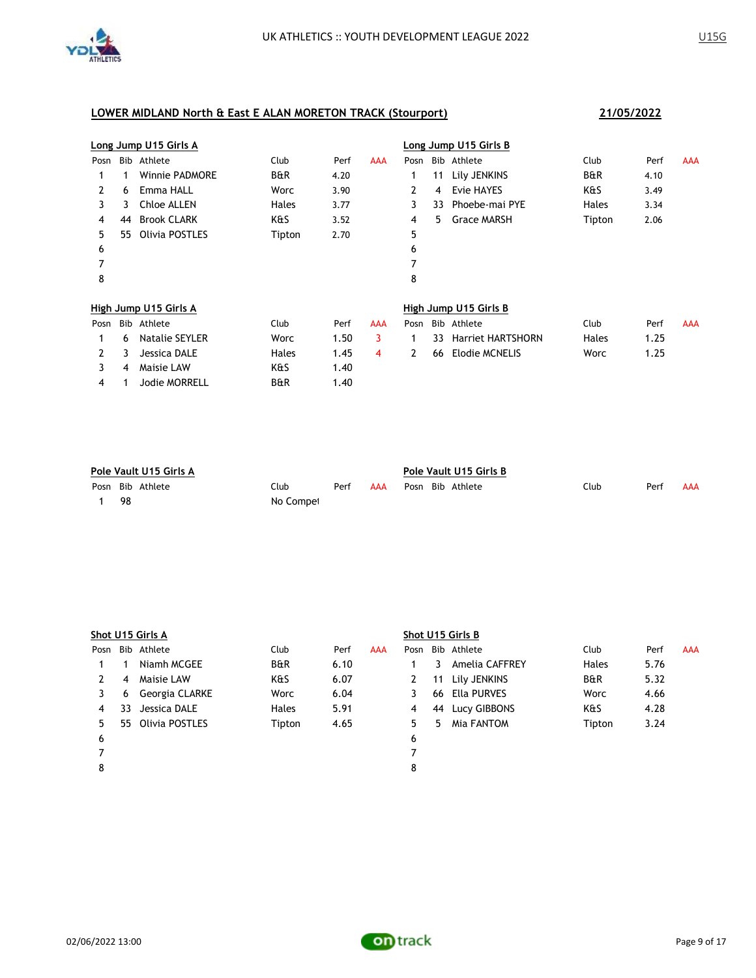

|      | Long Jump U15 Girls A |                       |                |      |     |      |    | Long Jump U15 Girls B    |                |      |            |  |  |  |  |
|------|-----------------------|-----------------------|----------------|------|-----|------|----|--------------------------|----------------|------|------------|--|--|--|--|
| Posn |                       | Bib Athlete           | Club           | Perf | AAA | Posn |    | Bib Athlete              | Club           | Perf | <b>AAA</b> |  |  |  |  |
|      | 1                     | <b>Winnie PADMORE</b> | <b>B&amp;R</b> | 4.20 |     |      | 11 | Lily JENKINS             | <b>B&amp;R</b> | 4.10 |            |  |  |  |  |
| 2    | 6                     | Emma HALL             | Worc           | 3.90 |     | 2    | 4  | Evie HAYES               | K&S            | 3.49 |            |  |  |  |  |
| 3    | 3                     | Chloe ALLEN           | Hales          | 3.77 |     | 3    | 33 | Phoebe-mai PYE           | Hales          | 3.34 |            |  |  |  |  |
| 4    | 44                    | <b>Brook CLARK</b>    | K&S            | 3.52 |     | 4    | 5. | <b>Grace MARSH</b>       | Tipton         | 2.06 |            |  |  |  |  |
| 5.   | 55                    | Olivia POSTLES        | Tipton         | 2.70 |     | 5    |    |                          |                |      |            |  |  |  |  |
| 6    |                       |                       |                |      |     | 6    |    |                          |                |      |            |  |  |  |  |
| 7    |                       |                       |                |      |     | 7    |    |                          |                |      |            |  |  |  |  |
| 8    |                       |                       |                |      |     | 8    |    |                          |                |      |            |  |  |  |  |
|      |                       | High Jump U15 Girls A |                |      |     |      |    | High Jump U15 Girls B    |                |      |            |  |  |  |  |
| Posn |                       | Bib Athlete           | Club           | Perf | AAA | Posn |    | Bib Athlete              | Club           | Perf | AAA        |  |  |  |  |
|      | 6                     | Natalie SEYLER        | Worc           | 1.50 | 3   |      | 33 | <b>Harriet HARTSHORN</b> | Hales          | 1.25 |            |  |  |  |  |
| 2    | 3                     | Jessica DALE          | Hales          | 1.45 | 4   | 2    | 66 | Elodie MCNELIS           | Worc           | 1.25 |            |  |  |  |  |
| 3    | 4                     | Maisie LAW            | K&S            | 1.40 |     |      |    |                          |                |      |            |  |  |  |  |
| 4    |                       | Jodie MORRELL         | <b>B&amp;R</b> | 1.40 |     |      |    |                          |                |      |            |  |  |  |  |

| Pole Vault U15 Girls A |                  |           |      |     |  | Pole Vault U15 Girls B |                  |      |      |     |  |  |
|------------------------|------------------|-----------|------|-----|--|------------------------|------------------|------|------|-----|--|--|
|                        | Posn Bib Athlete | Club      | Perf | AAA |  |                        | Posn Bib Athlete | Club | Perf | AAA |  |  |
| -98                    |                  | No Compet |      |     |  |                        |                  |      |      |     |  |  |

|      | Shot U15 Girls A |                   |                |      |     |    | Shot U15 Girls B |                  |                |      |            |  |  |  |
|------|------------------|-------------------|----------------|------|-----|----|------------------|------------------|----------------|------|------------|--|--|--|
| Posn |                  | Bib Athlete       | Club           | Perf | AAA |    |                  | Posn Bib Athlete | Club           | Perf | <b>AAA</b> |  |  |  |
|      |                  | Niamh MCGEE       | <b>B&amp;R</b> | 6.10 |     |    | 3.               | Amelia CAFFREY   | <b>Hales</b>   | 5.76 |            |  |  |  |
| 2    | 4                | Maisie LAW        | K&S            | 6.07 |     | 2  | 11               | Lily JENKINS     | <b>B&amp;R</b> | 5.32 |            |  |  |  |
|      | 6                | Georgia CLARKE    | Worc           | 6.04 |     |    |                  | 66 Ella PURVES   | Worc           | 4.66 |            |  |  |  |
| 4    | 33               | Jessica DALE      | Hales          | 5.91 |     | 4  | 44               | Lucy GIBBONS     | K&S            | 4.28 |            |  |  |  |
| 5.   |                  | 55 Olivia POSTLES | Tipton         | 4.65 |     | 5. | 5.               | Mia FANTOM       | Tipton         | 3.24 |            |  |  |  |
| 6    |                  |                   |                |      |     | 6  |                  |                  |                |      |            |  |  |  |
|      |                  |                   |                |      |     |    |                  |                  |                |      |            |  |  |  |
| 8    |                  |                   |                |      |     | 8  |                  |                  |                |      |            |  |  |  |
|      |                  |                   |                |      |     |    |                  |                  |                |      |            |  |  |  |



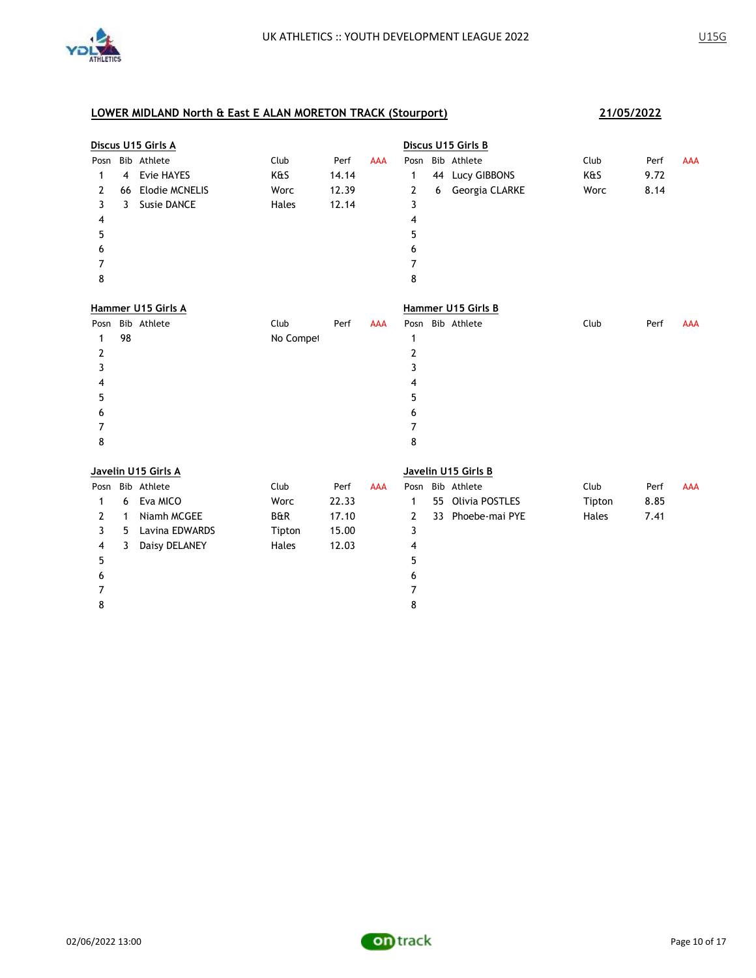

|      | Discus U15 Girls A |                       |           |       |            | Discus U15 Girls B |    |                     |        |      |            |
|------|--------------------|-----------------------|-----------|-------|------------|--------------------|----|---------------------|--------|------|------------|
| Posn |                    | Bib Athlete           | Club      | Perf  | <b>AAA</b> |                    |    | Posn Bib Athlete    | Club   | Perf | <b>AAA</b> |
| 1    | $\overline{4}$     | Evie HAYES            | K&S       | 14.14 |            | 1                  | 44 | Lucy GIBBONS        | K&S    | 9.72 |            |
| 2    | 66                 | <b>Elodie MCNELIS</b> | Worc      | 12.39 |            | 2                  | 6  | Georgia CLARKE      | Worc   | 8.14 |            |
| 3    | 3                  | <b>Susie DANCE</b>    | Hales     | 12.14 |            | 3                  |    |                     |        |      |            |
| 4    |                    |                       |           |       |            | 4                  |    |                     |        |      |            |
| 5    |                    |                       |           |       |            | 5                  |    |                     |        |      |            |
| 6    |                    |                       |           |       |            | 6                  |    |                     |        |      |            |
| 7    |                    |                       |           |       |            | 7                  |    |                     |        |      |            |
| 8    |                    |                       |           |       |            | 8                  |    |                     |        |      |            |
|      |                    | Hammer U15 Girls A    |           |       |            |                    |    | Hammer U15 Girls B  |        |      |            |
| Posn |                    | Bib Athlete           | Club      | Perf  | <b>AAA</b> |                    |    | Posn Bib Athlete    | Club   | Perf | <b>AAA</b> |
| 1    | 98                 |                       | No Compet |       |            | 1                  |    |                     |        |      |            |
| 2    |                    |                       |           |       |            | 2                  |    |                     |        |      |            |
| 3    |                    |                       |           |       |            | 3                  |    |                     |        |      |            |
| 4    |                    |                       |           |       |            | 4                  |    |                     |        |      |            |
| 5    |                    |                       |           |       |            | 5                  |    |                     |        |      |            |
| 6    |                    |                       |           |       |            | 6                  |    |                     |        |      |            |
| 7    |                    |                       |           |       |            | 7                  |    |                     |        |      |            |
| 8    |                    |                       |           |       |            | 8                  |    |                     |        |      |            |
|      |                    | Javelin U15 Girls A   |           |       |            |                    |    | Javelin U15 Girls B |        |      |            |
| Posn |                    | Bib Athlete           | Club      | Perf  | <b>AAA</b> |                    |    | Posn Bib Athlete    | Club   | Perf | <b>AAA</b> |
| 1    | 6                  | Eva MICO              | Worc      | 22.33 |            | 1                  | 55 | Olivia POSTLES      | Tipton | 8.85 |            |
| 2    | $\mathbf{1}$       | Niamh MCGEE           | B&R       | 17.10 |            | 2                  | 33 | Phoebe-mai PYE      | Hales  | 7.41 |            |
| 3    | 5                  | Lavina EDWARDS        | Tipton    | 15.00 |            | 3                  |    |                     |        |      |            |
| 4    | 3                  | Daisy DELANEY         | Hales     | 12.03 |            | 4                  |    |                     |        |      |            |
| 5    |                    |                       |           |       |            | 5                  |    |                     |        |      |            |
| 6    |                    |                       |           |       |            | 6                  |    |                     |        |      |            |
| 7    |                    |                       |           |       |            | 7                  |    |                     |        |      |            |
| 8    |                    |                       |           |       |            | 8                  |    |                     |        |      |            |

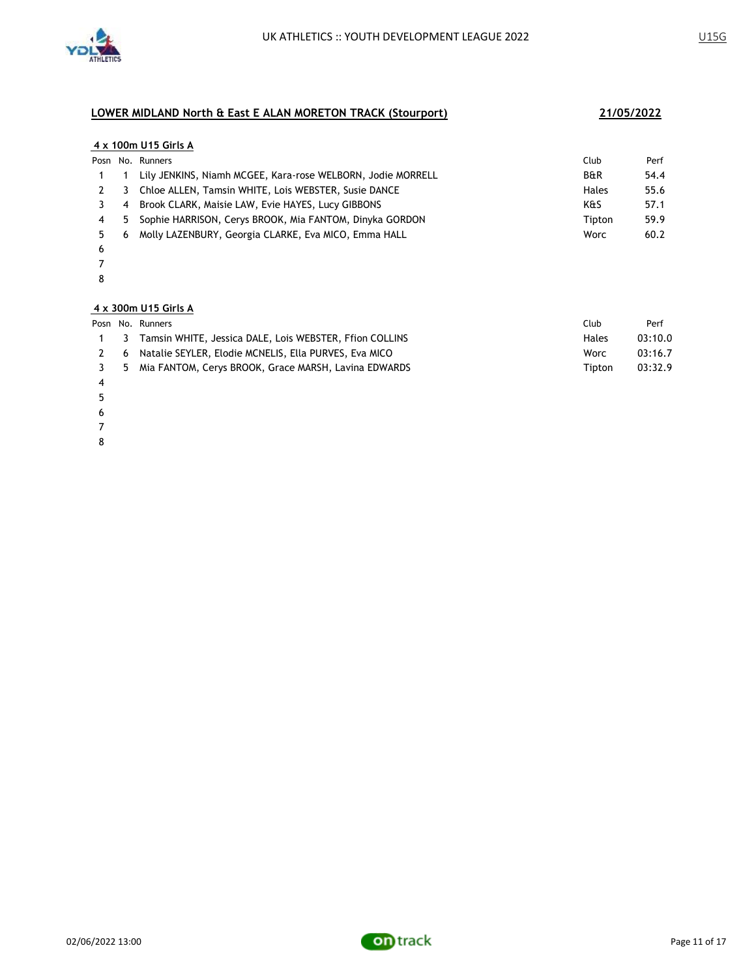

### **4 x 100m U15 Girls A**

|    |     | Posn No. Runners                                            | Club           | Perf |
|----|-----|-------------------------------------------------------------|----------------|------|
|    |     | Lily JENKINS, Niamh MCGEE, Kara-rose WELBORN, Jodie MORRELL | <b>B&amp;R</b> | 54.4 |
|    | - 3 | Chloe ALLEN, Tamsin WHITE, Lois WEBSTER, Susie DANCE        | Hales          | 55.6 |
|    | -4  | Brook CLARK, Maisie LAW, Evie HAYES, Lucy GIBBONS           | K&S            | 57.1 |
|    | -5  | Sophie HARRISON, Cerys BROOK, Mia FANTOM, Dinyka GORDON     | Tipton         | 59.9 |
| 5. | -6  | Molly LAZENBURY, Georgia CLARKE, Eva MICO, Emma HALL        | Worc           | 60.2 |
|    |     |                                                             |                |      |

- 
- 

### **4 x 300m U15 Girls A**

|     | Posn No. Runners                                            | Club   | Perf    |
|-----|-------------------------------------------------------------|--------|---------|
|     | 1 3 Tamsin WHITE, Jessica DALE, Lois WEBSTER, Ffion COLLINS | Hales  | 03:10.0 |
| 2 6 | Natalie SEYLER, Elodie MCNELIS, Ella PURVES, Eva MICO       | Worc   | 03:16.7 |
|     | 3 5 Mia FANTOM, Cerys BROOK, Grace MARSH, Lavina EDWARDS    | Tipton | 03:32.9 |

- 
- 
- 
- 
- 

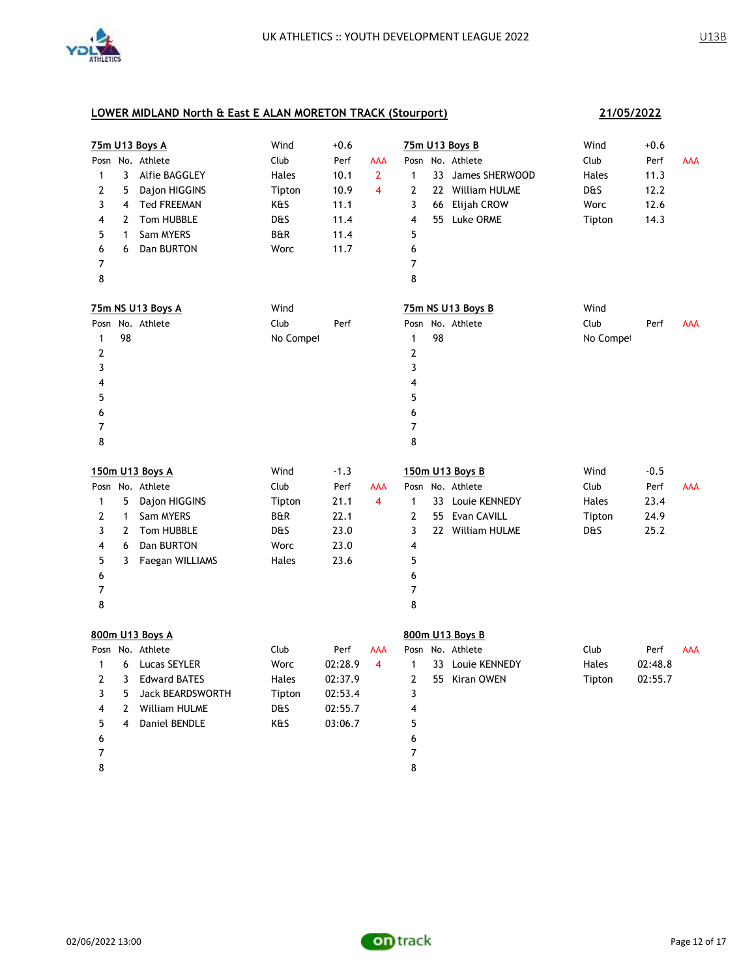

|                |                | 75m U13 Boys A          | Wind           | $+0.6$  |                |                |    | 75m U13 Boys B    | Wind      | $+0.6$  |            |
|----------------|----------------|-------------------------|----------------|---------|----------------|----------------|----|-------------------|-----------|---------|------------|
|                |                | Posn No. Athlete        | Club           | Perf    | <b>AAA</b>     |                |    | Posn No. Athlete  | Club      | Perf    | <b>AAA</b> |
| 1              | 3              | Alfie BAGGLEY           | Hales          | 10.1    | $\overline{2}$ | 1              |    | 33 James SHERWOOD | Hales     | 11.3    |            |
| $\mathbf{2}$   | 5              | Dajon HIGGINS           | Tipton         | 10.9    | $\overline{4}$ | 2              |    | 22 William HULME  | D&S       | 12.2    |            |
| 3              | 4              | <b>Ted FREEMAN</b>      | K&S            | 11.1    |                | 3              | 66 | Elijah CROW       | Worc      | 12.6    |            |
| 4              | $\overline{2}$ | Tom HUBBLE              | <b>D&amp;S</b> | 11.4    |                | 4              |    | 55 Luke ORME      | Tipton    | 14.3    |            |
| 5              | $\mathbf{1}$   | Sam MYERS               | B&R            | 11.4    |                | 5              |    |                   |           |         |            |
| 6              | 6              | Dan BURTON              | Worc           | 11.7    |                | 6              |    |                   |           |         |            |
| $\overline{7}$ |                |                         |                |         |                | $\overline{7}$ |    |                   |           |         |            |
| 8              |                |                         |                |         |                | 8              |    |                   |           |         |            |
|                |                | 75m NS U13 Boys A       | Wind           |         |                |                |    | 75m NS U13 Boys B | Wind      |         |            |
| Posn           |                | No. Athlete             | Club           | Perf    |                | Posn           |    | No. Athlete       | Club      | Perf    | <b>AAA</b> |
| 1              | 98             |                         | No Compet      |         |                | $\mathbf{1}$   | 98 |                   | No Compet |         |            |
| $\mathbf{Z}$   |                |                         |                |         |                | $\overline{2}$ |    |                   |           |         |            |
| 3              |                |                         |                |         |                | 3              |    |                   |           |         |            |
| 4              |                |                         |                |         |                | 4              |    |                   |           |         |            |
| 5              |                |                         |                |         |                | 5              |    |                   |           |         |            |
| 6              |                |                         |                |         |                | 6              |    |                   |           |         |            |
| 7              |                |                         |                |         |                | $\overline{7}$ |    |                   |           |         |            |
| 8              |                |                         |                |         |                | 8              |    |                   |           |         |            |
|                |                | 150m U13 Boys A         | Wind           | $-1.3$  |                |                |    | 150m U13 Boys B   | Wind      | $-0.5$  |            |
|                |                | Posn No. Athlete        | Club           | Perf    | AAA            |                |    | Posn No. Athlete  | Club      | Perf    | <b>AAA</b> |
| $\mathbf{1}$   | 5              | Dajon HIGGINS           | Tipton         | 21.1    | $\overline{4}$ | $\mathbf{1}$   |    | 33 Louie KENNEDY  | Hales     | 23.4    |            |
| 2              | $\mathbf{1}$   | Sam MYERS               | <b>B&amp;R</b> | 22.1    |                | $\overline{2}$ |    | 55 Evan CAVILL    | Tipton    | 24.9    |            |
| 3              |                | 2 Tom HUBBLE            | D&S            | 23.0    |                | 3              |    | 22 William HULME  | D&S       | 25.2    |            |
| 4              |                |                         |                |         |                |                |    |                   |           |         |            |
|                | 6              | Dan BURTON              | Worc           | 23.0    |                | 4              |    |                   |           |         |            |
| 5              | 3              | Faegan WILLIAMS         | Hales          | 23.6    |                | 5              |    |                   |           |         |            |
| 6              |                |                         |                |         |                | 6              |    |                   |           |         |            |
| 7              |                |                         |                |         |                | $\overline{7}$ |    |                   |           |         |            |
| 8              |                |                         |                |         |                | 8              |    |                   |           |         |            |
|                |                | 800m U13 Boys A         |                |         |                |                |    | 800m U13 Boys B   |           |         |            |
|                |                | Posn No. Athlete        | Club           | Perf    | AAA            |                |    | Posn No. Athlete  | Club      | Perf    | <b>AAA</b> |
| $\mathbf{1}$   | 6              | Lucas SEYLER            | Worc           | 02:28.9 | $\overline{4}$ | $\mathbf{1}$   |    | 33 Louie KENNEDY  | Hales     | 02:48.8 |            |
| 2              | 3              | <b>Edward BATES</b>     | Hales          | 02:37.9 |                | $\overline{2}$ |    | 55 Kiran OWEN     | Tipton    | 02:55.7 |            |
| 3              | 5              | <b>Jack BEARDSWORTH</b> | Tipton         | 02:53.4 |                | 3              |    |                   |           |         |            |
| 4              | $\mathbf{2}$   | William HULME           | D&S            | 02:55.7 |                | 4              |    |                   |           |         |            |
| 5              | $\overline{4}$ | Daniel BENDLE           | K&S            | 03:06.7 |                | 5              |    |                   |           |         |            |
| 6              |                |                         |                |         |                | 6              |    |                   |           |         |            |
| 7              |                |                         |                |         |                | $\overline{7}$ |    |                   |           |         |            |

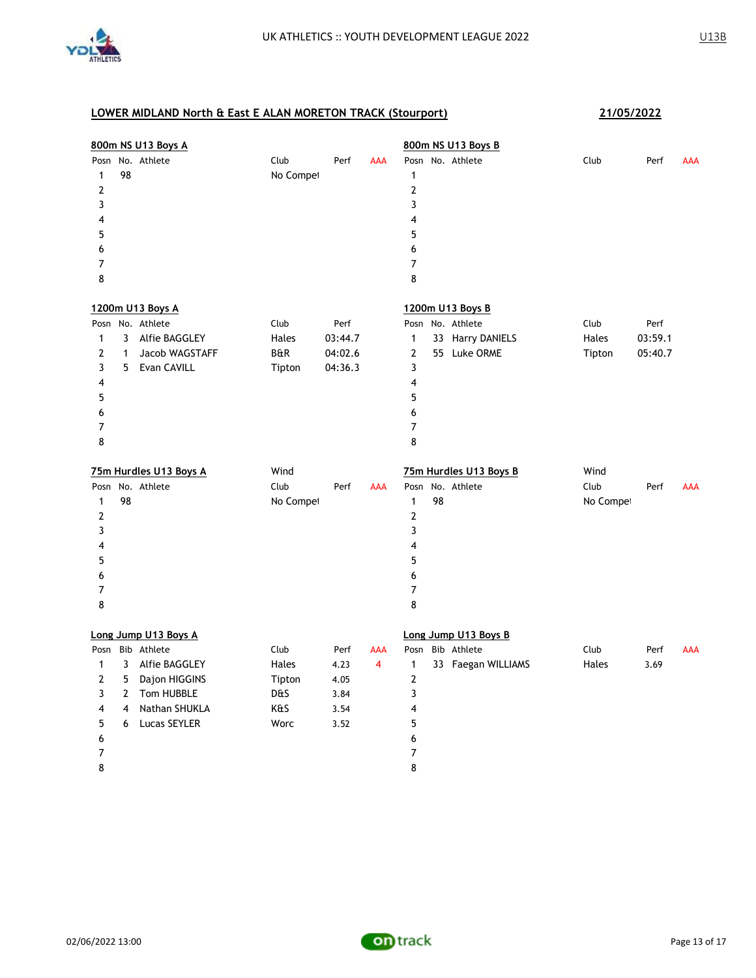

|                  |              | 800m NS U13 Boys A     |           |         |            |                         |    | 800m NS U13 Boys B     |           |         |            |
|------------------|--------------|------------------------|-----------|---------|------------|-------------------------|----|------------------------|-----------|---------|------------|
|                  |              | Posn No. Athlete       | Club      | Perf    | <b>AAA</b> |                         |    | Posn No. Athlete       | Club      | Perf    | <b>AAA</b> |
| 1                | 98           |                        | No Compet |         |            | $\mathbf{1}$            |    |                        |           |         |            |
| $\overline{2}$   |              |                        |           |         |            | $\mathbf{2}$            |    |                        |           |         |            |
| 3                |              |                        |           |         |            | 3                       |    |                        |           |         |            |
| $\overline{4}$   |              |                        |           |         |            | 4                       |    |                        |           |         |            |
| 5                |              |                        |           |         |            | 5                       |    |                        |           |         |            |
| 6                |              |                        |           |         |            | 6                       |    |                        |           |         |            |
| $\overline{7}$   |              |                        |           |         |            | $\overline{7}$          |    |                        |           |         |            |
| 8                |              |                        |           |         |            | 8                       |    |                        |           |         |            |
|                  |              | 1200m U13 Boys A       |           |         |            |                         |    | 1200m U13 Boys B       |           |         |            |
|                  |              | Posn No. Athlete       | Club      | Perf    |            |                         |    | Posn No. Athlete       | Club      | Perf    |            |
| $\mathbf{1}$     | 3            | Alfie BAGGLEY          | Hales     | 03:44.7 |            | $\mathbf{1}$            |    | 33 Harry DANIELS       | Hales     | 03:59.1 |            |
| $\mathbf{2}$     | 1            | Jacob WAGSTAFF         | B&R       | 04:02.6 |            | $\mathbf{2}$            |    | 55 Luke ORME           | Tipton    | 05:40.7 |            |
| 3                | 5.           | Evan CAVILL            | Tipton    | 04:36.3 |            | 3                       |    |                        |           |         |            |
| 4                |              |                        |           |         |            | 4                       |    |                        |           |         |            |
| 5                |              |                        |           |         |            | 5                       |    |                        |           |         |            |
| 6                |              |                        |           |         |            | 6                       |    |                        |           |         |            |
| 7                |              |                        |           |         |            | $\overline{7}$          |    |                        |           |         |            |
| 8                |              |                        |           |         |            | 8                       |    |                        |           |         |            |
|                  |              | 75m Hurdles U13 Boys A | Wind      |         |            |                         |    | 75m Hurdles U13 Boys B | Wind      |         |            |
|                  |              | Posn No. Athlete       | Club      | Perf    | AAA        |                         |    | Posn No. Athlete       | Club      | Perf    | AAA        |
| $\mathbf{1}$     | 98           |                        | No Compet |         |            | $\mathbf{1}$            | 98 |                        | No Compet |         |            |
| $\boldsymbol{2}$ |              |                        |           |         |            | $\overline{\mathbf{c}}$ |    |                        |           |         |            |
| 3                |              |                        |           |         |            | 3                       |    |                        |           |         |            |
| 4                |              |                        |           |         |            | 4                       |    |                        |           |         |            |
| 5                |              |                        |           |         |            | 5                       |    |                        |           |         |            |
| 6                |              |                        |           |         |            | 6                       |    |                        |           |         |            |
| 7                |              |                        |           |         |            | $\overline{7}$          |    |                        |           |         |            |
| 8                |              |                        |           |         |            | 8                       |    |                        |           |         |            |
|                  |              | Long Jump U13 Boys A   |           |         |            |                         |    | Long Jump U13 Boys B   |           |         |            |
| Posn             |              | Bib Athlete            | Club      | Perf    | AAA        | Posn                    |    | Bib Athlete            | Club      | Perf    | AAA        |
| $\mathbf{1}$     | 3            | Alfie BAGGLEY          | Hales     | 4.23    | 4          | $\mathbf{1}$            |    | 33 Faegan WILLIAMS     | Hales     | 3.69    |            |
| $\overline{2}$   | 5            | Dajon HIGGINS          | Tipton    | 4.05    |            | $\mathbf{2}$            |    |                        |           |         |            |
| 3                | $\mathbf{2}$ | Tom HUBBLE             | D&S       | 3.84    |            | 3                       |    |                        |           |         |            |
| 4                | 4            | Nathan SHUKLA          | K&S       | 3.54    |            | 4                       |    |                        |           |         |            |
| 5                | 6            | Lucas SEYLER           | Worc      | 3.52    |            | 5                       |    |                        |           |         |            |
| 6                |              |                        |           |         |            | 6                       |    |                        |           |         |            |
| 7                |              |                        |           |         |            | $\overline{7}$          |    |                        |           |         |            |
| 8                |              |                        |           |         |            | 8                       |    |                        |           |         |            |

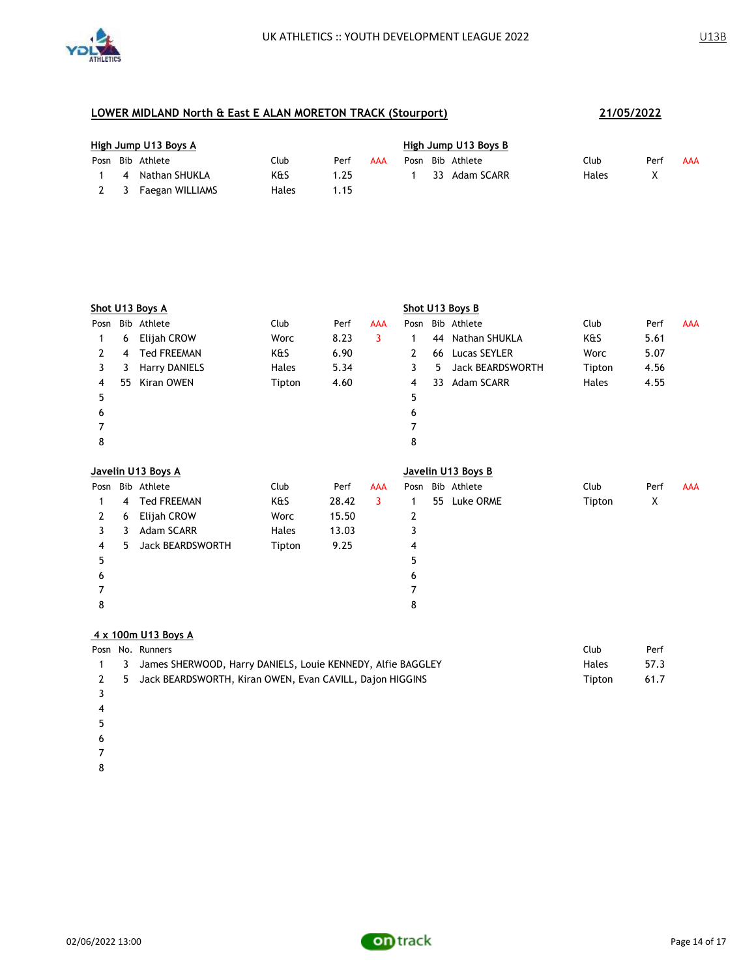

|     | High Jump U13 Boys A |                  |       |      |     |  | High Jump U13 Boys B |                  |       |      |     |  |  |  |
|-----|----------------------|------------------|-------|------|-----|--|----------------------|------------------|-------|------|-----|--|--|--|
|     |                      | Posn Bib Athlete | Club  | Perf | AAA |  |                      | Posn Bib Athlete | Club  | Perf | AAA |  |  |  |
|     |                      | 4 Nathan SHUKLA  | K&S   | 1.25 |     |  |                      | 33 Adam SCARR    | Hales |      |     |  |  |  |
| 2 3 |                      | Faegan WILLIAMS  | Hales | .15  |     |  |                      |                  |       |      |     |  |  |  |

|              | <b>Shot U13 Boys A</b> |                         |        |       |            |              | Shot U13 Boys B |                    |        |      |            |  |
|--------------|------------------------|-------------------------|--------|-------|------------|--------------|-----------------|--------------------|--------|------|------------|--|
| Posn         |                        | Bib Athlete             | Club   | Perf  | <b>AAA</b> |              |                 | Posn Bib Athlete   | Club   | Perf | <b>AAA</b> |  |
| 1            | 6                      | Elijah CROW             | Worc   | 8.23  | 3          | 1            | 44              | Nathan SHUKLA      | K&S    | 5.61 |            |  |
| $\mathbf{2}$ | 4                      | <b>Ted FREEMAN</b>      | K&S    | 6.90  |            | $\mathbf{2}$ | 66              | Lucas SEYLER       | Worc   | 5.07 |            |  |
| 3            | 3                      | <b>Harry DANIELS</b>    | Hales  | 5.34  |            | 3            | 5               | Jack BEARDSWORTH   | Tipton | 4.56 |            |  |
| 4            | 55                     | Kiran OWEN              | Tipton | 4.60  |            | 4            | 33              | Adam SCARR         | Hales  | 4.55 |            |  |
| 5            |                        |                         |        |       |            | 5            |                 |                    |        |      |            |  |
| 6            |                        |                         |        |       |            | 6            |                 |                    |        |      |            |  |
| 7            |                        |                         |        |       |            |              |                 |                    |        |      |            |  |
| 8            |                        |                         |        |       |            | 8            |                 |                    |        |      |            |  |
|              |                        |                         |        |       |            |              |                 |                    |        |      |            |  |
|              |                        |                         |        |       |            |              |                 |                    |        |      |            |  |
|              |                        | Javelin U13 Boys A      |        |       |            |              |                 | Javelin U13 Boys B |        |      |            |  |
| Posn         |                        | Bib Athlete             | Club   | Perf  | <b>AAA</b> | Posn         |                 | Bib Athlete        | Club   | Perf | <b>AAA</b> |  |
| 1            | 4                      | <b>Ted FREEMAN</b>      | K&S    | 28.42 | 3          | 1            | 55              | Luke ORME          | Tipton | X    |            |  |
| $\mathbf{2}$ | 6                      | Elijah CROW             | Worc   | 15.50 |            | 2            |                 |                    |        |      |            |  |
| 3            | 3                      | Adam SCARR              | Hales  | 13.03 |            | 3            |                 |                    |        |      |            |  |
| 4            | 5.                     | <b>Jack BEARDSWORTH</b> | Tipton | 9.25  |            | 4            |                 |                    |        |      |            |  |
| 5            |                        |                         |        |       |            | 5            |                 |                    |        |      |            |  |
| 6            |                        |                         |        |       |            | 6            |                 |                    |        |      |            |  |
| 7            |                        |                         |        |       |            |              |                 |                    |        |      |            |  |
| 8            |                        |                         |        |       |            | 8            |                 |                    |        |      |            |  |

### **4 x 100m U13 Boys A**

|  | Posn No. Runners                                                | Club         | Perf |
|--|-----------------------------------------------------------------|--------------|------|
|  | 1 3 James SHERWOOD, Harry DANIELS, Louie KENNEDY, Alfie BAGGLEY | <b>Hales</b> | 57.3 |
|  | 2 5 Jack BEARDSWORTH, Kiran OWEN, Evan CAVILL, Dajon HIGGINS    | Tipton       | 61.7 |
|  |                                                                 |              |      |

- 
- 
- 
- 
- 
- 

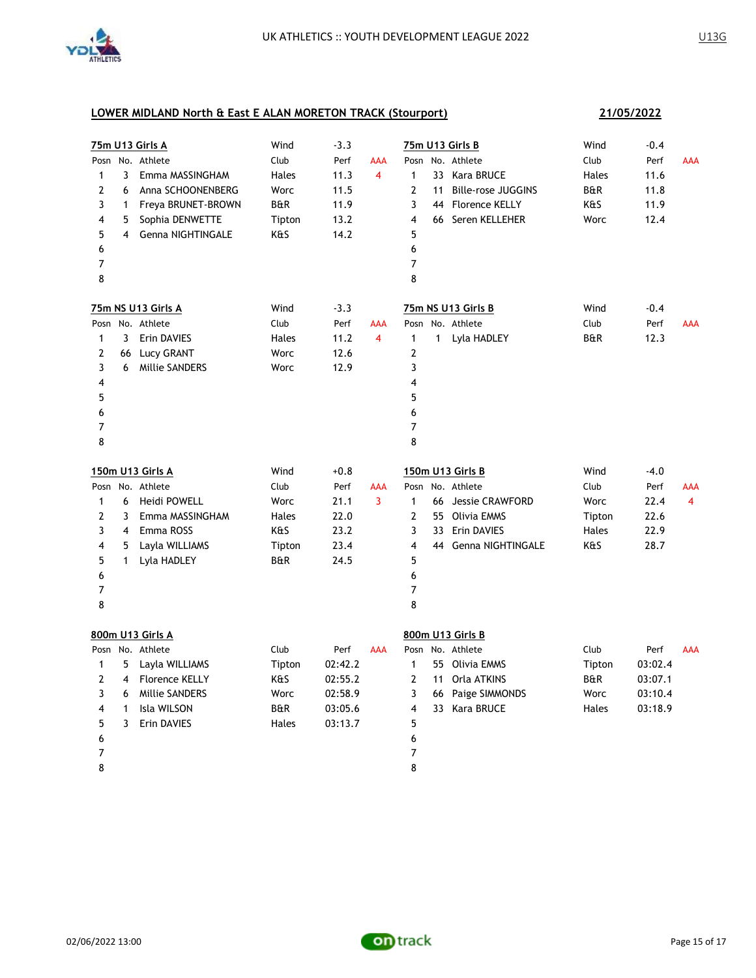

| 75m U13 Girls A |                |                       | Wind           | $-3.3$  |                | 75m U13 Girls B |    |                           | Wind           | $-0.4$  |                |
|-----------------|----------------|-----------------------|----------------|---------|----------------|-----------------|----|---------------------------|----------------|---------|----------------|
|                 |                | Posn No. Athlete      | Club           | Perf    | AAA            |                 |    | Posn No. Athlete          | Club           | Perf    | AAA            |
| 1               | 3              | Emma MASSINGHAM       | Hales          | 11.3    | 4              | 1               |    | 33 Kara BRUCE             | Hales          | 11.6    |                |
| 2               | 6              | Anna SCHOONENBERG     | Worc           | 11.5    |                | 2               | 11 | <b>Bille-rose JUGGINS</b> | B&R            | 11.8    |                |
| 3               | $\mathbf{1}$   | Freya BRUNET-BROWN    | B&R            | 11.9    |                | 3               |    | 44 Florence KELLY         | K&S            | 11.9    |                |
| 4               | 5              | Sophia DENWETTE       | Tipton         | 13.2    |                | 4               |    | 66 Seren KELLEHER         | Worc           | 12.4    |                |
| 5               | $\overline{4}$ | Genna NIGHTINGALE     | K&S            | 14.2    |                | 5               |    |                           |                |         |                |
| 6               |                |                       |                |         |                | 6               |    |                           |                |         |                |
| $\overline{7}$  |                |                       |                |         |                | $\overline{7}$  |    |                           |                |         |                |
| 8               |                |                       |                |         |                | 8               |    |                           |                |         |                |
|                 |                | 75m NS U13 Girls A    | Wind           | $-3.3$  |                |                 |    | 75m NS U13 Girls B        | Wind           | $-0.4$  |                |
|                 |                | Posn No. Athlete      | Club           | Perf    | AAA            |                 |    | Posn No. Athlete          | Club           | Perf    | <b>AAA</b>     |
| $\mathbf{1}$    | $\mathbf{3}$   | Erin DAVIES           | Hales          | 11.2    | $\overline{4}$ | 1               |    | 1 Lyla HADLEY             | <b>B&amp;R</b> | 12.3    |                |
| 2               | 66             | Lucy GRANT            | Worc           | 12.6    |                | 2               |    |                           |                |         |                |
| 3               | 6              | Millie SANDERS        | Worc           | 12.9    |                | 3               |    |                           |                |         |                |
| 4               |                |                       |                |         |                | 4               |    |                           |                |         |                |
| 5               |                |                       |                |         |                | 5               |    |                           |                |         |                |
| 6               |                |                       |                |         |                | 6               |    |                           |                |         |                |
| 7               |                |                       |                |         |                | 7               |    |                           |                |         |                |
| 8               |                |                       |                |         |                | 8               |    |                           |                |         |                |
|                 |                | 150m U13 Girls A      | Wind           | $+0.8$  |                |                 |    | 150m U13 Girls B          | Wind           | $-4.0$  |                |
|                 |                | Posn No. Athlete      | Club           | Perf    | AAA            |                 |    | Posn No. Athlete          | Club           | Perf    | AAA            |
| 1               | 6              | Heidi POWELL          | Worc           | 21.1    | 3              | $\mathbf{1}$    |    | 66 Jessie CRAWFORD        | Worc           | 22.4    | $\overline{4}$ |
| 2               | 3              | Emma MASSINGHAM       | Hales          | 22.0    |                | 2               |    | 55 Olivia EMMS            | Tipton         | 22.6    |                |
| 3               | 4              | Emma ROSS             | K&S            | 23.2    |                | 3               |    | 33 Erin DAVIES            | Hales          | 22.9    |                |
| 4               | 5              | Layla WILLIAMS        | Tipton         | 23.4    |                | 4               |    |                           |                |         |                |
| 5               | 1              |                       |                |         |                |                 |    | 44 Genna NIGHTINGALE      | K&S            | 28.7    |                |
| 6               |                | Lyla HADLEY           | B&R            | 24.5    |                | 5               |    |                           |                |         |                |
|                 |                |                       |                |         |                | 6               |    |                           |                |         |                |
| 7               |                |                       |                |         |                | 7               |    |                           |                |         |                |
| 8               |                |                       |                |         |                | 8               |    |                           |                |         |                |
|                 |                | 800m U13 Girls A      |                |         |                |                 |    | 800m U13 Girls B          |                |         |                |
|                 |                | Posn No. Athlete      | Club           | Perf    | <b>AAA</b>     |                 |    | Posn No. Athlete          | Club           | Perf    | <b>AAA</b>     |
| 1               | 5              | Layla WILLIAMS        | Tipton         | 02:42.2 |                | 1               |    | 55 Olivia EMMS            | Tipton         | 03:02.4 |                |
| 2               | 4              | <b>Florence KELLY</b> | K&S            | 02:55.2 |                | 2               |    | 11 Orla ATKINS            | <b>B&amp;R</b> | 03:07.1 |                |
| 3               | 6              | Millie SANDERS        | Worc           | 02:58.9 |                | 3               |    | 66 Paige SIMMONDS         | Worc           | 03:10.4 |                |
| 4               | $\mathbf{1}$   | Isla WILSON           | <b>B&amp;R</b> | 03:05.6 |                | 4               |    | 33 Kara BRUCE             | Hales          | 03:18.9 |                |
| 5               | 3              | Erin DAVIES           | Hales          | 03:13.7 |                | 5               |    |                           |                |         |                |
| 6               |                |                       |                |         |                | 6               |    |                           |                |         |                |
| 7<br>8          |                |                       |                |         |                | 7<br>8          |    |                           |                |         |                |

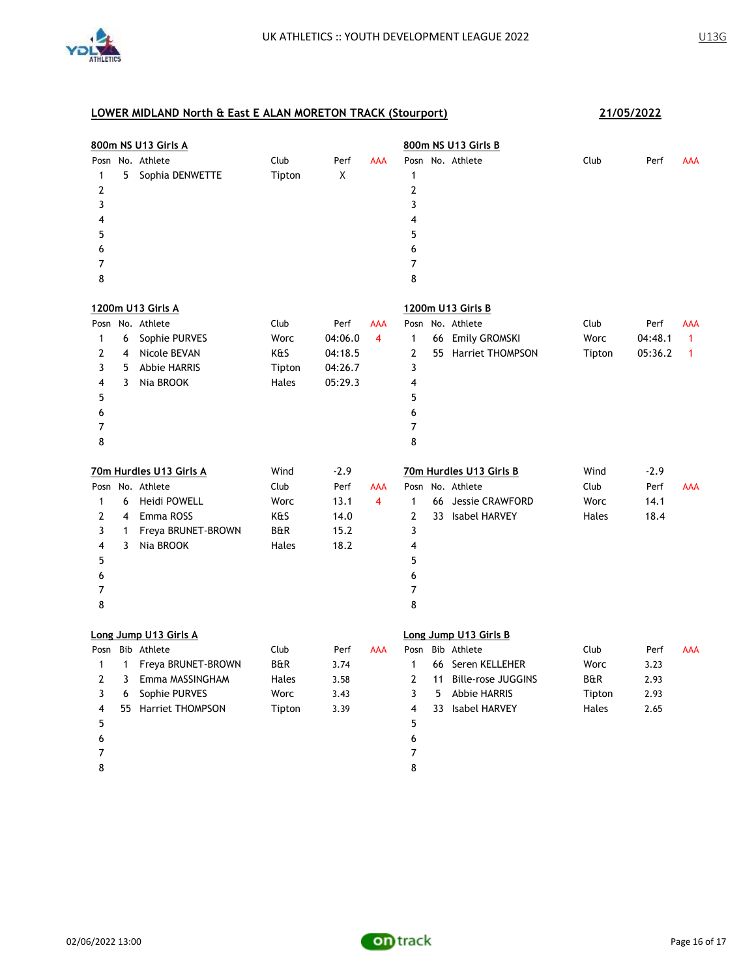

| 800m NS U13 Girls A |              |                         |                |         |            | 800m NS U13 Girls B |    |                           |        |         |              |
|---------------------|--------------|-------------------------|----------------|---------|------------|---------------------|----|---------------------------|--------|---------|--------------|
|                     |              | Posn No. Athlete        | Club           | Perf    | <b>AAA</b> |                     |    | Posn No. Athlete          | Club   | Perf    | <b>AAA</b>   |
| 1                   | 5            | Sophia DENWETTE         | Tipton         | Χ       |            | 1                   |    |                           |        |         |              |
| 2                   |              |                         |                |         |            | $\overline{2}$      |    |                           |        |         |              |
| 3                   |              |                         |                |         |            | 3                   |    |                           |        |         |              |
| 4                   |              |                         |                |         |            | 4                   |    |                           |        |         |              |
| 5                   |              |                         |                |         |            | 5                   |    |                           |        |         |              |
| 6                   |              |                         |                |         |            | 6                   |    |                           |        |         |              |
| 7                   |              |                         |                |         |            | 7                   |    |                           |        |         |              |
| 8                   |              |                         |                |         |            | 8                   |    |                           |        |         |              |
|                     |              | 1200m U13 Girls A       |                |         |            |                     |    | 1200m U13 Girls B         |        |         |              |
| Posn                |              | No. Athlete             | Club           | Perf    | <b>AAA</b> | Posn                |    | No. Athlete               | Club   | Perf    | AAA          |
| 1                   | 6            | Sophie PURVES           | Worc           | 04:06.0 | 4          | 1                   |    | 66 Emily GROMSKI          | Worc   | 04:48.1 | $\mathbf{1}$ |
| 2                   | 4            | Nicole BEVAN            | K&S            | 04:18.5 |            | 2                   |    | 55 Harriet THOMPSON       | Tipton | 05:36.2 | 1            |
| 3                   | 5            | <b>Abbie HARRIS</b>     | Tipton         | 04:26.7 |            | 3                   |    |                           |        |         |              |
| 4                   | 3            | Nia BROOK               | Hales          | 05:29.3 |            | 4                   |    |                           |        |         |              |
| 5                   |              |                         |                |         |            | 5                   |    |                           |        |         |              |
| 6                   |              |                         |                |         |            | 6                   |    |                           |        |         |              |
| 7                   |              |                         |                |         |            | 7                   |    |                           |        |         |              |
| 8                   |              |                         |                |         |            | 8                   |    |                           |        |         |              |
|                     |              |                         |                |         |            |                     |    |                           |        |         |              |
|                     |              | 70m Hurdles U13 Girls A | Wind           | $-2.9$  |            |                     |    | 70m Hurdles U13 Girls B   | Wind   | $-2.9$  |              |
|                     |              | Posn No. Athlete        | Club           | Perf    | AAA        |                     |    | Posn No. Athlete          | Club   | Perf    | <b>AAA</b>   |
| $\mathbf{1}$        | 6            | Heidi POWELL            | Worc           | 13.1    | 4          | $\mathbf{1}$        |    | 66 Jessie CRAWFORD        | Worc   | 14.1    |              |
| 2                   |              | 4 Emma ROSS             | K&S            | 14.0    |            | $\overline{2}$      |    | 33 Isabel HARVEY          | Hales  | 18.4    |              |
| 3                   | 1            | Freya BRUNET-BROWN      | B&R            | 15.2    |            | 3                   |    |                           |        |         |              |
| 4                   | 3            | Nia BROOK               | Hales          | 18.2    |            | 4                   |    |                           |        |         |              |
| 5                   |              |                         |                |         |            | 5                   |    |                           |        |         |              |
| 6                   |              |                         |                |         |            | 6                   |    |                           |        |         |              |
| 7                   |              |                         |                |         |            | $\overline{7}$      |    |                           |        |         |              |
| 8                   |              |                         |                |         |            | 8                   |    |                           |        |         |              |
|                     |              | Long Jump U13 Girls A   |                |         |            |                     |    | Long Jump U13 Girls B     |        |         |              |
|                     |              | Posn Bib Athlete        | Club           | Perf    | <b>AAA</b> | Posn                |    | Bib Athlete               | Club   | Perf    | <b>AAA</b>   |
| 1                   | $\mathbf{1}$ | Freya BRUNET-BROWN      | <b>B&amp;R</b> | 3.74    |            | 1                   |    | 66 Seren KELLEHER         | Worc   | 3.23    |              |
| 2                   | 3            | Emma MASSINGHAM         | Hales          | 3.58    |            | $\overline{2}$      | 11 | <b>Bille-rose JUGGINS</b> | B&R    | 2.93    |              |
| 3                   | 6            | Sophie PURVES           | Worc           | 3.43    |            | 3                   | 5  | <b>Abbie HARRIS</b>       | Tipton | 2.93    |              |
| 4                   |              | 55 Harriet THOMPSON     | Tipton         | 3.39    |            | 4                   |    | 33 Isabel HARVEY          | Hales  | 2.65    |              |
| 5                   |              |                         |                |         |            | 5                   |    |                           |        |         |              |
| 6                   |              |                         |                |         |            | 6                   |    |                           |        |         |              |
| 7                   |              |                         |                |         |            | 7                   |    |                           |        |         |              |
| 8                   |              |                         |                |         |            | 8                   |    |                           |        |         |              |
|                     |              |                         |                |         |            |                     |    |                           |        |         |              |